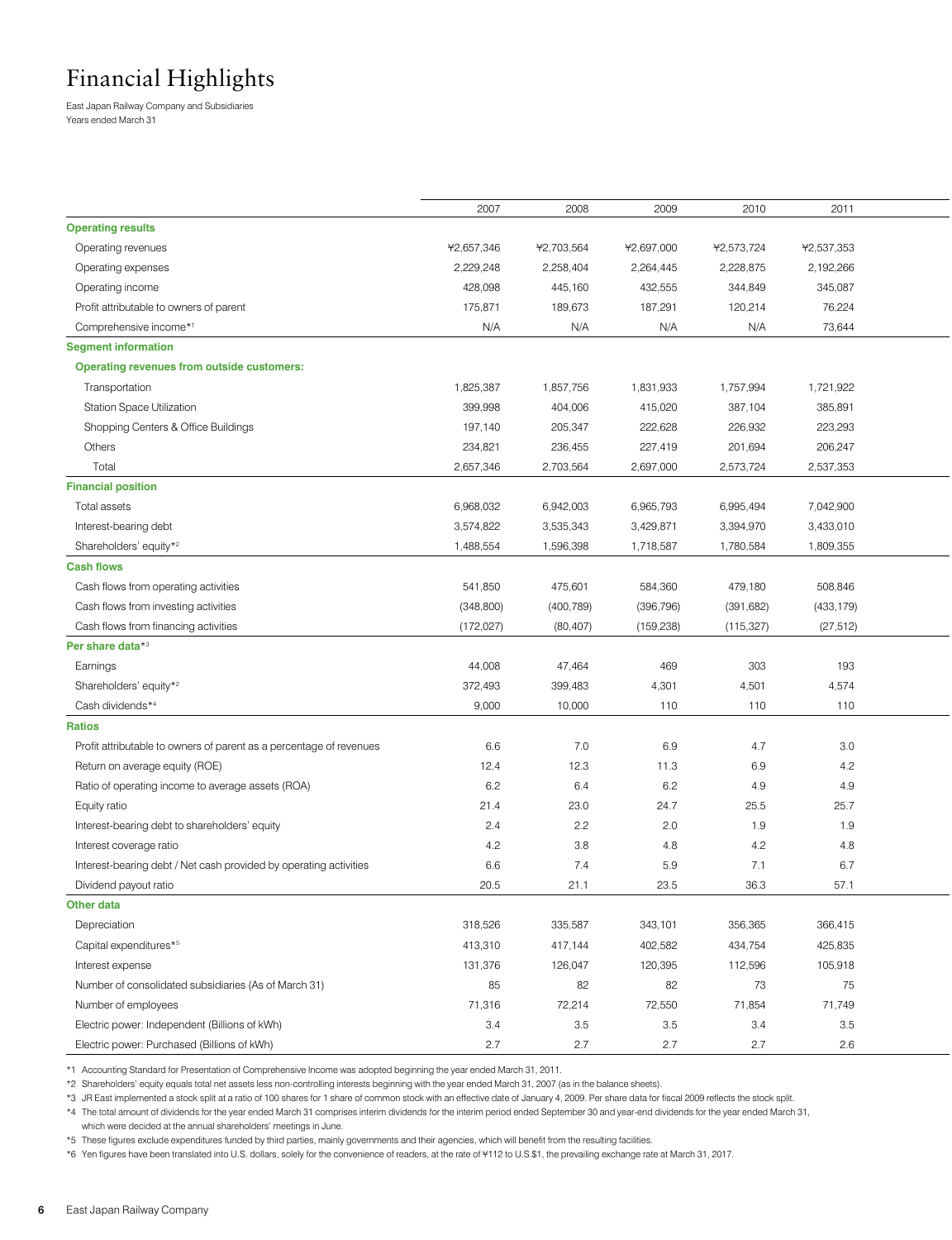# Financial Highlights

East Japan Railway Company and Subsidiaries Years ended March 31

|                                                                     | 2007       | 2008       | 2009       | 2010       | 2011       |  |
|---------------------------------------------------------------------|------------|------------|------------|------------|------------|--|
| <b>Operating results</b>                                            |            |            |            |            |            |  |
| Operating revenues                                                  | ¥2,657,346 | ¥2,703,564 | ¥2,697,000 | ¥2,573,724 | ¥2,537,353 |  |
| Operating expenses                                                  | 2,229,248  | 2,258,404  | 2,264,445  | 2,228,875  | 2,192,266  |  |
| Operating income                                                    | 428,098    | 445,160    | 432,555    | 344,849    | 345,087    |  |
| Profit attributable to owners of parent                             | 175,871    | 189,673    | 187,291    | 120,214    | 76,224     |  |
| Comprehensive income*1                                              | N/A        | N/A        | N/A        | N/A        | 73,644     |  |
| <b>Segment information</b>                                          |            |            |            |            |            |  |
| <b>Operating revenues from outside customers:</b>                   |            |            |            |            |            |  |
| Transportation                                                      | 1,825,387  | 1,857,756  | 1,831,933  | 1,757,994  | 1,721,922  |  |
| Station Space Utilization                                           | 399,998    | 404,006    | 415,020    | 387,104    | 385,891    |  |
| Shopping Centers & Office Buildings                                 | 197,140    | 205,347    | 222,628    | 226,932    | 223,293    |  |
| Others                                                              | 234,821    | 236,455    | 227,419    | 201,694    | 206,247    |  |
| Total                                                               | 2,657,346  | 2,703,564  | 2,697,000  | 2,573,724  | 2,537,353  |  |
| <b>Financial position</b>                                           |            |            |            |            |            |  |
| Total assets                                                        | 6,968,032  | 6,942,003  | 6,965,793  | 6,995,494  | 7,042,900  |  |
| Interest-bearing debt                                               | 3,574,822  | 3,535,343  | 3,429,871  | 3,394,970  | 3,433,010  |  |
| Shareholders' equity* <sup>2</sup>                                  | 1,488,554  | 1,596,398  | 1,718,587  | 1,780,584  | 1,809,355  |  |
| <b>Cash flows</b>                                                   |            |            |            |            |            |  |
| Cash flows from operating activities                                | 541,850    | 475,601    | 584,360    | 479,180    | 508,846    |  |
| Cash flows from investing activities                                | (348,800)  | (400, 789) | (396, 796) | (391, 682) | (433, 179) |  |
| Cash flows from financing activities                                | (172, 027) | (80, 407)  | (159, 238) | (115, 327) | (27, 512)  |  |
| Per share data*3                                                    |            |            |            |            |            |  |
| Earnings                                                            | 44,008     | 47,464     | 469        | 303        | 193        |  |
| Shareholders' equity* <sup>2</sup>                                  | 372,493    | 399,483    | 4,301      | 4,501      | 4,574      |  |
| Cash dividends*4                                                    | 9,000      | 10,000     | 110        | 110        | 110        |  |
| Ratios                                                              |            |            |            |            |            |  |
| Profit attributable to owners of parent as a percentage of revenues | 6.6        | 7.0        | 6.9        | 4.7        | 3.0        |  |
| Return on average equity (ROE)                                      | 12.4       | 12.3       | 11.3       | 6.9        | 4.2        |  |
| Ratio of operating income to average assets (ROA)                   | 6.2        | 6.4        | 6.2        | 4.9        | 4.9        |  |
| Equity ratio                                                        | 21.4       | 23.0       | 24.7       | 25.5       | 25.7       |  |
|                                                                     |            |            |            | 1.9        | 1.9        |  |
| Interest-bearing debt to shareholders' equity                       | 2.4        | 2.2        | 2.0        |            |            |  |
| Interest coverage ratio                                             | 4.2        | 3.8        | 4.8        | 4.2        | 4.8        |  |
| Interest-bearing debt / Net cash provided by operating activities   | 6.6        | 7.4        | 5.9        | 7.1        | 6.7        |  |
| Dividend payout ratio                                               | 20.5       | 21.1       | 23.5       | 36.3       | 57.1       |  |
| Other data                                                          |            |            |            |            |            |  |
| Depreciation                                                        | 318,526    | 335,587    | 343,101    | 356,365    | 366,415    |  |
| Capital expenditures*5                                              | 413,310    | 417,144    | 402,582    | 434,754    | 425,835    |  |
| Interest expense                                                    | 131,376    | 126,047    | 120,395    | 112,596    | 105,918    |  |
| Number of consolidated subsidiaries (As of March 31)                | 85         | 82         | 82         | 73         | 75         |  |
| Number of employees                                                 | 71,316     | 72,214     | 72,550     | 71,854     | 71,749     |  |
| Electric power: Independent (Billions of kWh)                       | 3.4        | 3.5        | 3.5        | 3.4        | 3.5        |  |
| Electric power: Purchased (Billions of kWh)                         | 2.7        | 2.7        | 2.7        | 2.7        | 2.6        |  |

\*1 Accounting Standard for Presentation of Comprehensive Income was adopted beginning the year ended March 31, 2011.

\*2 Shareholders' equity equals total net assets less non-controlling interests beginning with the year ended March 31, 2007 (as in the balance sheets).

\*3 JR East implemented a stock split at a ratio of 100 shares for 1 share of common stock with an effective date of January 4, 2009. Per share data for fiscal 2009 reflects the stock split.

\*4 The total amount of dividends for the year ended March 31 comprises interim dividends for the interim period ended September 30 and year-end dividends for the year ended March 31, which were decided at the annual shareholders' meetings in June.

\*5 These figures exclude expenditures funded by third parties, mainly governments and their agencies, which will benefit from the resulting facilities.

\*6 Yen figures have been translated into U.S. dollars, solely for the convenience of readers, at the rate of ¥112 to U.S.\$1, the prevailing exchange rate at March 31, 2017.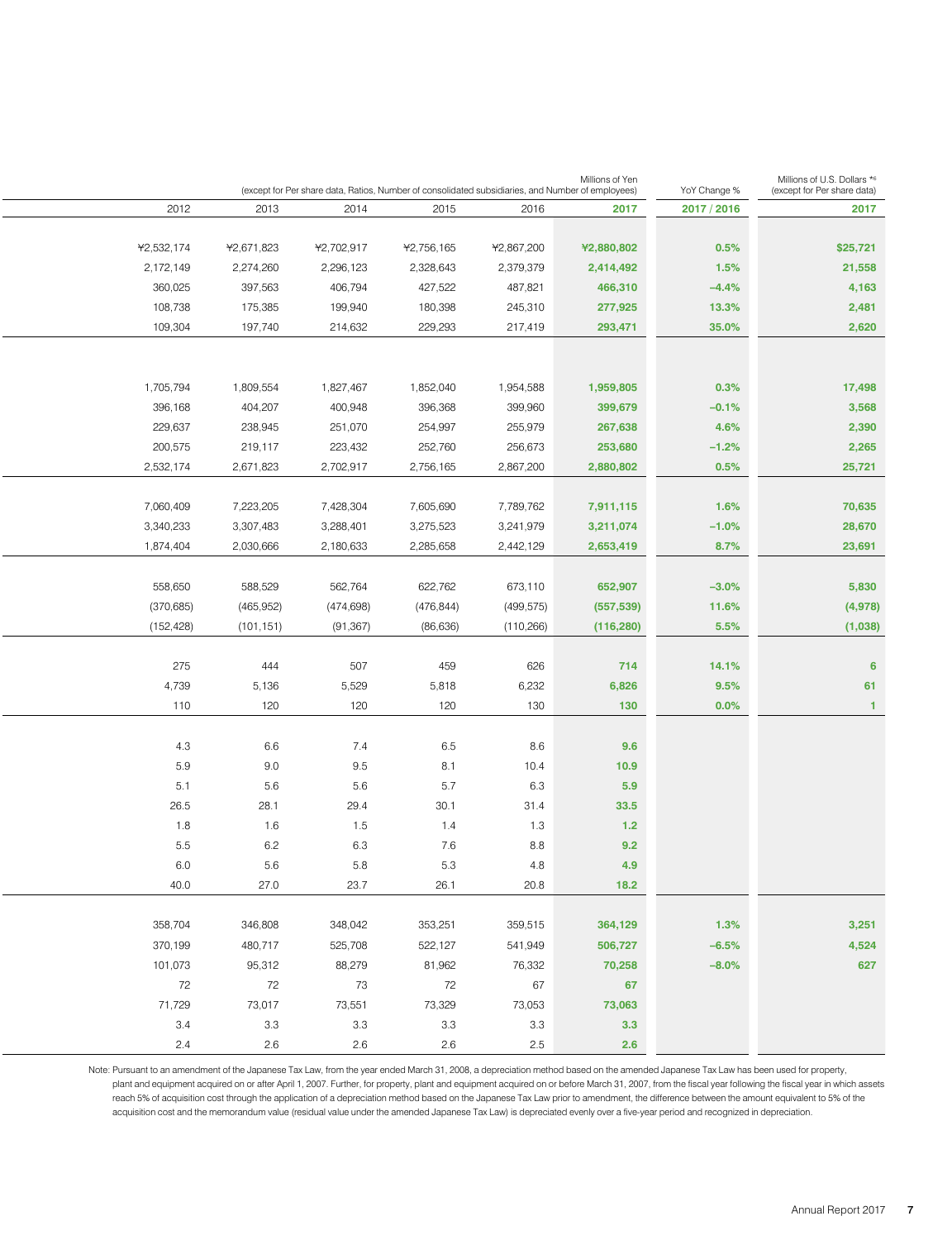| Millions of U.S. Dollars *6<br>(except for Per share data) | YoY Change % | Millions of Yen<br>(except for Per share data, Ratios, Number of consolidated subsidiaries, and Number of employees) |              |            |            |            |            |  |  |
|------------------------------------------------------------|--------------|----------------------------------------------------------------------------------------------------------------------|--------------|------------|------------|------------|------------|--|--|
| 2017                                                       | 2017 / 2016  | 2017                                                                                                                 | 2016         | 2015       | 2014       | 2013       | 2012       |  |  |
|                                                            |              |                                                                                                                      |              |            |            |            |            |  |  |
| \$25,721                                                   | 0.5%         | ¥2,880,802                                                                                                           | ¥2,867,200   | ¥2,756,165 | ¥2,702,917 | ¥2,671,823 | ¥2,532,174 |  |  |
| 21,558                                                     | 1.5%         | 2,414,492                                                                                                            | 2,379,379    | 2,328,643  | 2,296,123  | 2,274,260  | 2,172,149  |  |  |
| 4,163                                                      | $-4.4%$      | 466,310                                                                                                              | 487,821      | 427,522    | 406,794    | 397,563    | 360,025    |  |  |
| 2,481                                                      | 13.3%        | 277,925                                                                                                              | 245,310      | 180,398    | 199,940    | 175,385    | 108,738    |  |  |
| 2,620                                                      | 35.0%        | 293,471                                                                                                              | 217,419      | 229,293    | 214,632    | 197,740    | 109,304    |  |  |
|                                                            |              |                                                                                                                      |              |            |            |            |            |  |  |
| 17,498                                                     | 0.3%         | 1,959,805                                                                                                            | 1,954,588    | 1,852,040  | 1,827,467  | 1,809,554  | 1,705,794  |  |  |
| 3,568                                                      | $-0.1%$      | 399,679                                                                                                              | 399,960      | 396,368    | 400,948    | 404,207    | 396,168    |  |  |
| 2,390                                                      | 4.6%         | 267,638                                                                                                              | 255,979      | 254,997    | 251,070    | 238,945    | 229,637    |  |  |
| 2,265                                                      | $-1.2%$      | 253,680                                                                                                              | 256,673      | 252,760    | 223,432    | 219,117    | 200,575    |  |  |
| 25,721                                                     | 0.5%         | 2,880,802                                                                                                            | 2,867,200    | 2,756,165  | 2,702,917  | 2,671,823  | 2,532,174  |  |  |
| 70,635                                                     | 1.6%         | 7,911,115                                                                                                            | 7,789,762    | 7,605,690  | 7,428,304  | 7,223,205  | 7,060,409  |  |  |
| 28,670                                                     | $-1.0%$      | 3,211,074                                                                                                            | 3,241,979    | 3,275,523  | 3,288,401  | 3,307,483  | 3,340,233  |  |  |
| 23,691                                                     | 8.7%         | 2,653,419                                                                                                            | 2,442,129    | 2,285,658  | 2,180,633  | 2,030,666  | 1,874,404  |  |  |
|                                                            |              |                                                                                                                      |              |            |            |            |            |  |  |
| 5,830                                                      | $-3.0\%$     | 652,907                                                                                                              | 673,110      | 622,762    | 562,764    | 588,529    | 558,650    |  |  |
| (4,978)                                                    | 11.6%        | (557, 539)                                                                                                           | (499, 575)   | (476, 844) | (474,698)  | (465,952)  | (370,685)  |  |  |
| (1,038)                                                    | 5.5%         | (116, 280)                                                                                                           | (110, 266)   | (86, 636)  | (91, 367)  | (101, 151) | (152, 428) |  |  |
|                                                            |              |                                                                                                                      |              |            |            |            |            |  |  |
|                                                            | 14.1%        | 714                                                                                                                  | 626          | 459        | 507        | 444        | 275        |  |  |
|                                                            | 9.5%         | 6,826                                                                                                                | 6,232        | 5,818      | 5,529      | 5,136      | 4,739      |  |  |
|                                                            | $0.0\%$      | 130                                                                                                                  | 130          | 120        | 120        | 120        | 110        |  |  |
|                                                            |              |                                                                                                                      |              |            |            |            |            |  |  |
|                                                            |              | 9.6                                                                                                                  | 8.6          | 6.5        | 7.4        | 6.6        | 4.3        |  |  |
|                                                            |              | 10.9                                                                                                                 | 10.4         | 8.1        | 9.5        | 9.0        | 5.9        |  |  |
|                                                            |              | 5.9                                                                                                                  | 6.3          | 5.7        | 5.6        | 5.6        | 5.1        |  |  |
|                                                            |              | 33.5                                                                                                                 | 31.4         | 30.1       | 29.4       | 28.1       | 26.5       |  |  |
|                                                            |              | 1.2                                                                                                                  | 1.3          | 1.4        | 1.5        | 1.6        | 1.8        |  |  |
|                                                            |              | 9.2                                                                                                                  | 8.8          | 7.6        | 6.3        | 6.2        | 5.5        |  |  |
|                                                            |              | 4.9                                                                                                                  | 4.8          | 5.3        | 5.8        | 5.6        | 6.0        |  |  |
|                                                            |              | $18.2$                                                                                                               | 20.8         | 26.1       | 23.7       | 27.0       | 40.0       |  |  |
| 3,251                                                      | 1.3%         | 364,129                                                                                                              | 359,515      | 353,251    | 348,042    | 346,808    | 358,704    |  |  |
| 4,524                                                      | $-6.5%$      |                                                                                                                      | 541,949      | 522,127    | 525,708    | 480,717    | 370,199    |  |  |
|                                                            | $-8.0\%$     | 506,727                                                                                                              |              | 81,962     | 88,279     | 95,312     | 101,073    |  |  |
|                                                            |              | 70,258<br>67                                                                                                         | 76,332       | 72         | 73         | 72         | 72         |  |  |
|                                                            |              | 73,063                                                                                                               | 67<br>73,053 | 73,329     | 73,551     | 73,017     | 71,729     |  |  |
|                                                            |              | 3.3                                                                                                                  | 3.3          | 3.3        | 3.3        | 3.3        | 3.4        |  |  |
|                                                            |              | 2.6                                                                                                                  | 2.5          | 2.6        | 2.6        | 2.6        | 2.4        |  |  |
|                                                            |              |                                                                                                                      |              |            |            |            |            |  |  |

Note: Pursuant to an amendment of the Japanese Tax Law, from the year ended March 31, 2008, a depreciation method based on the amended Japanese Tax Law has been used for property, plant and equipment acquired on or after April 1, 2007. Further, for property, plant and equipment acquired on or before March 31, 2007, from the fiscal year following the fiscal year in which assets reach 5% of acquisition cost through the application of a depreciation method based on the Japanese Tax Law prior to amendment, the difference between the amount equivalent to 5% of the acquisition cost and the memorandum value (residual value under the amended Japanese Tax Law) is depreciated evenly over a five-year period and recognized in depreciation.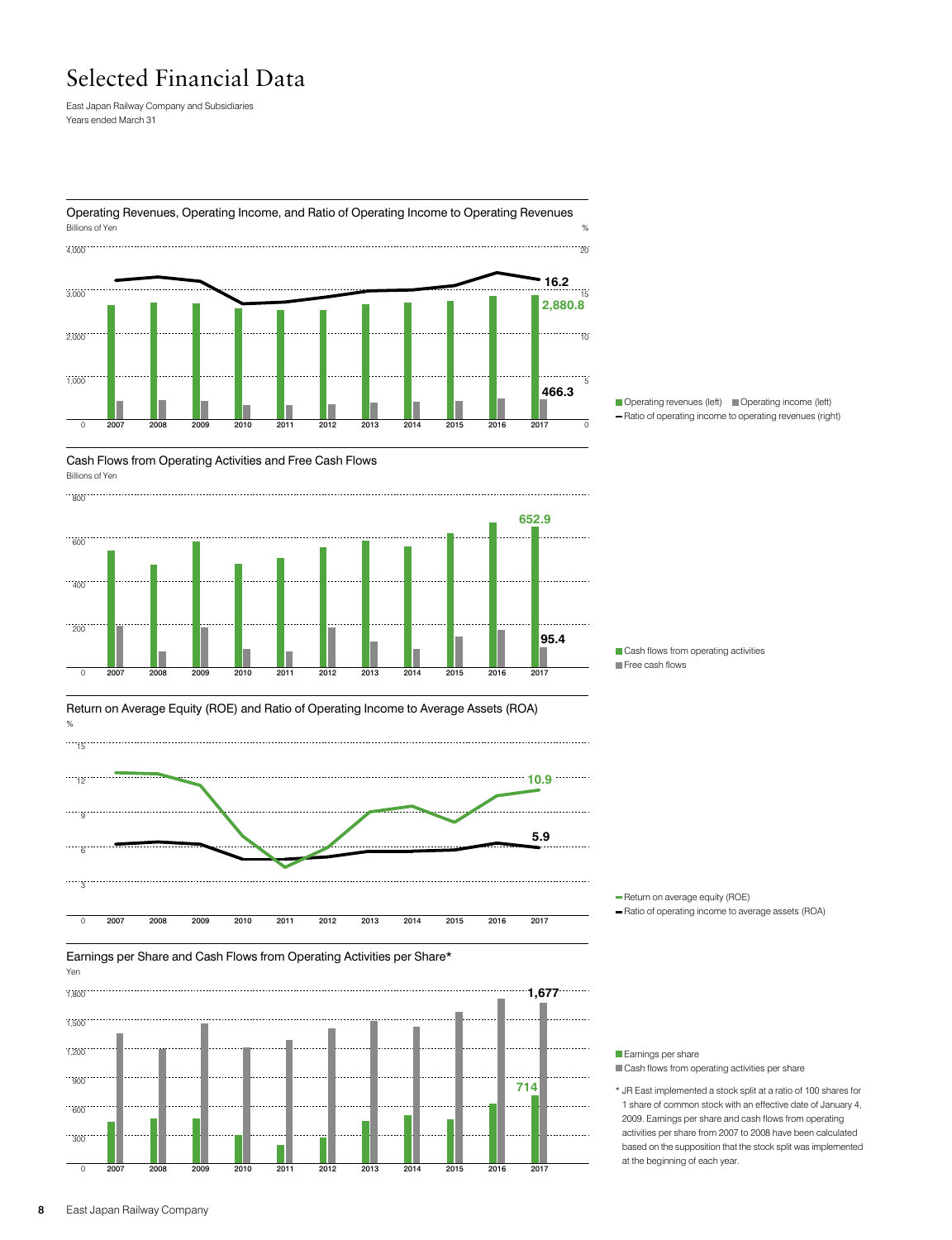## Selected Financial Data

East Japan Railway Company and Subsidiaries Years ended March 31



Operating Revenues, Operating Income, and Ratio of Operating Income to Operating Revenues



Cash Flows from Operating Activities and Free Cash Flows Billions of Yen



Cash flows from operating activities **Free cash flows** 





Earnings per Share and Cash Flows from Operating Activities per Share\*



Earnings per share Cash flows from operating activities per share

\* JR East implemented a stock split at a ratio of 100 shares for 1 share of common stock with an effective date of January 4, 2009. Earnings per share and cash flows from operating activities per share from 2007 to 2008 have been calculated based on the supposition that the stock split was implemented at the beginning of each year.

# Return on Average Equity (ROE) and Ratio of Operating Income to Average Assets (ROA)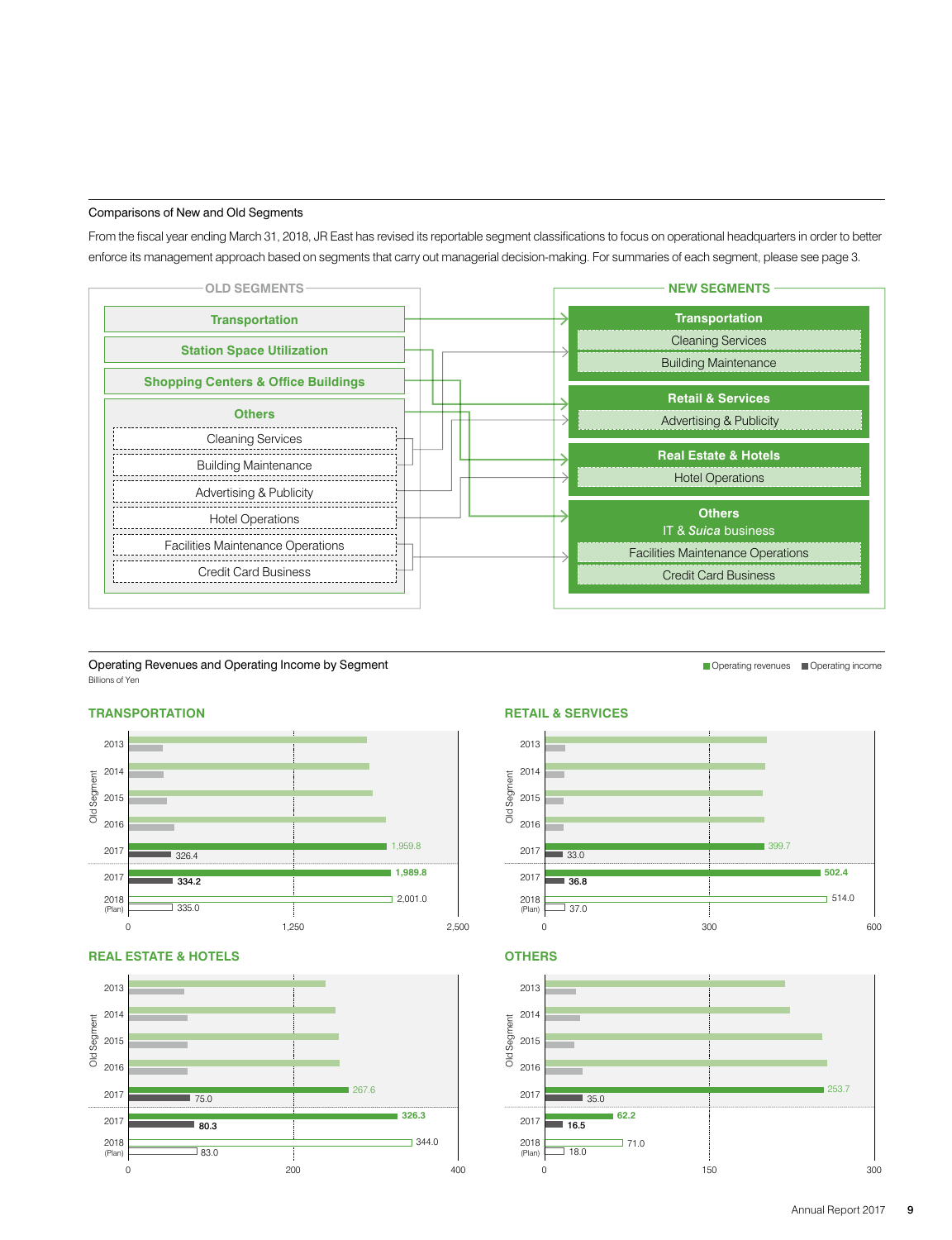#### Comparisons of New and Old Segments

From the fiscal year ending March 31, 2018, JR East has revised its reportable segment classifications to focus on operational headquarters in order to better enforce its management approach based on segments that carry out managerial decision-making. For summaries of each segment, please see page 3.



Operating Revenues and Operating Income by Segment Billions of Yen

### **TRANSPORTATION**



#### **REAL ESTATE & HOTELS**



#### **RETAIL & SERVICES**







Operating revenues **Operating income**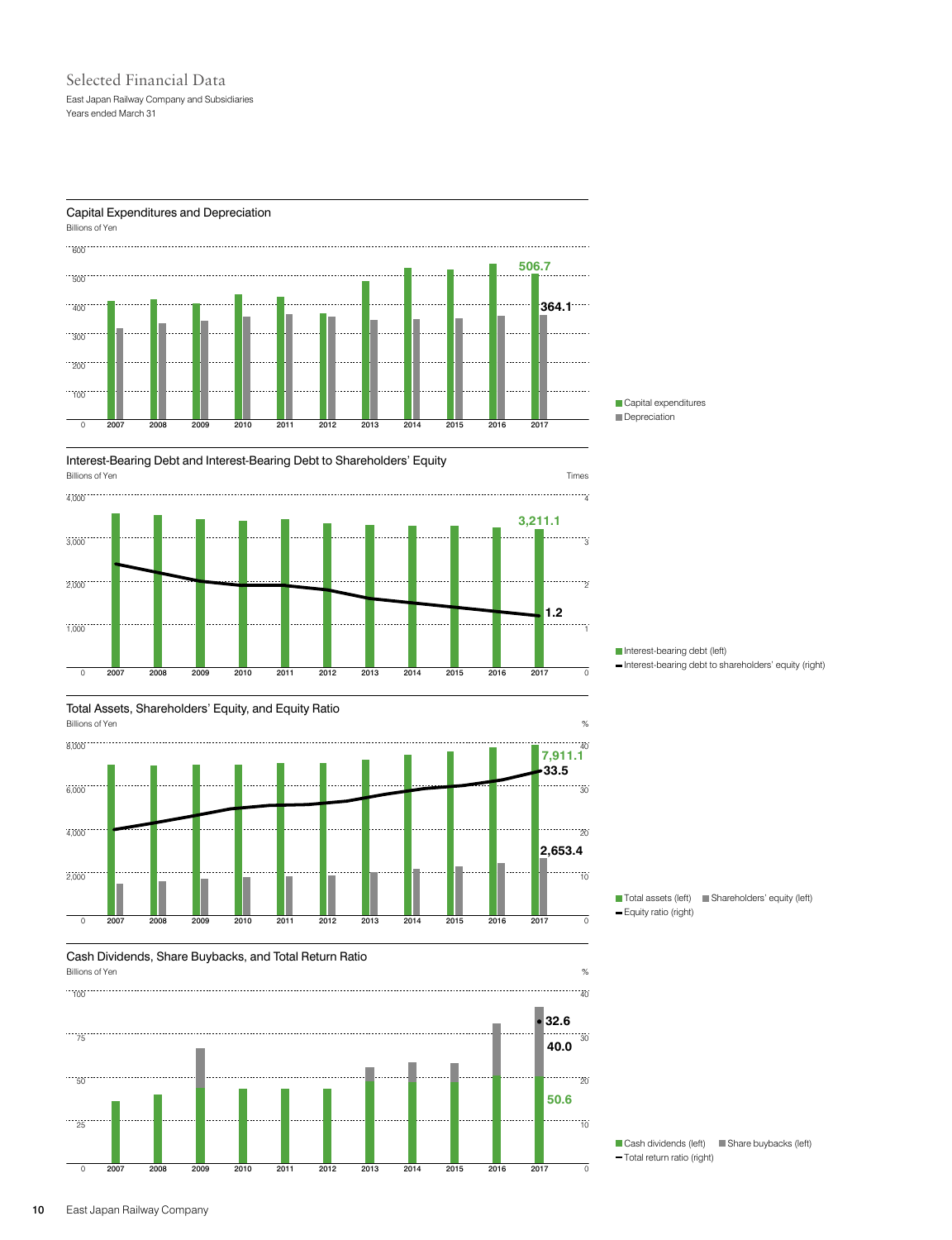## Selected Financial Data East Japan Railway Company and Subsidiaries Years ended March 31

#### Capital Expenditures and Depreciation



Interest-Bearing Debt and Interest-Bearing Debt to Shareholders' Equity













Interest-bearing debt (left) - Interest-bearing debt to shareholders' equity (right)

■ Total assets (left) ■ Shareholders' equity (left) Equity ratio (right)

Cash dividends (left) Share buybacks (left) Total return ratio (right)